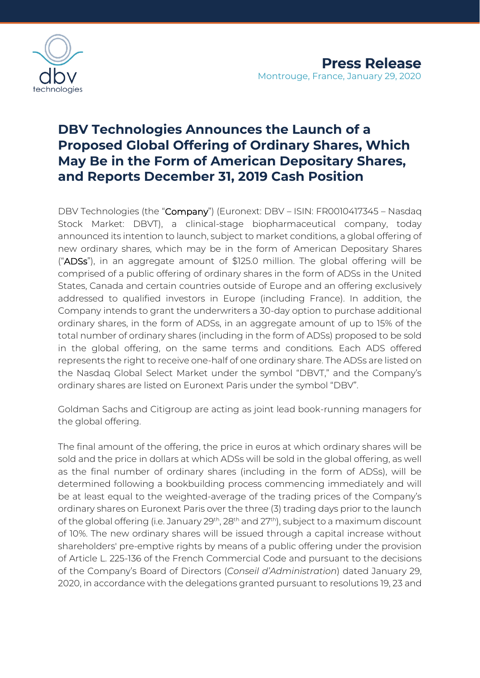

# **DBV Technologies Announces the Launch of a Proposed Global Offering of Ordinary Shares, Which May Be in the Form of American Depositary Shares, and Reports December 31, 2019 Cash Position**

DBV Technologies (the "Company") (Euronext: DBV – ISIN: FR0010417345 – Nasdaq Stock Market: DBVT), a clinical-stage biopharmaceutical company, today announced its intention to launch, subject to market conditions, a global offering of new ordinary shares, which may be in the form of American Depositary Shares ("ADSs"), in an aggregate amount of \$125.0 million. The global offering will be comprised of a public offering of ordinary shares in the form of ADSs in the United States, Canada and certain countries outside of Europe and an offering exclusively addressed to qualified investors in Europe (including France). In addition, the Company intends to grant the underwriters a 30-day option to purchase additional ordinary shares, in the form of ADSs, in an aggregate amount of up to 15% of the total number of ordinary shares (including in the form of ADSs) proposed to be sold in the global offering, on the same terms and conditions. Each ADS offered represents the right to receive one-half of one ordinary share. The ADSs are listed on the Nasdaq Global Select Market under the symbol "DBVT," and the Company's ordinary shares are listed on Euronext Paris under the symbol "DBV".

Goldman Sachs and Citigroup are acting as joint lead book-running managers for the global offering.

The final amount of the offering, the price in euros at which ordinary shares will be sold and the price in dollars at which ADSs will be sold in the global offering, as well as the final number of ordinary shares (including in the form of ADSs), will be determined following a bookbuilding process commencing immediately and will be at least equal to the weighted-average of the trading prices of the Company's ordinary shares on Euronext Paris over the three (3) trading days prior to the launch of the global offering (i.e. January 29<sup>th</sup>, 28<sup>th</sup> and 27<sup>th</sup>), subject to a maximum discount of 10%. The new ordinary shares will be issued through a capital increase without shareholders' pre-emptive rights by means of a public offering under the provision of Article L. 225-136 of the French Commercial Code and pursuant to the decisions of the Company's Board of Directors (*Conseil d'Administration*) dated January 29, 2020, in accordance with the delegations granted pursuant to resolutions 19, 23 and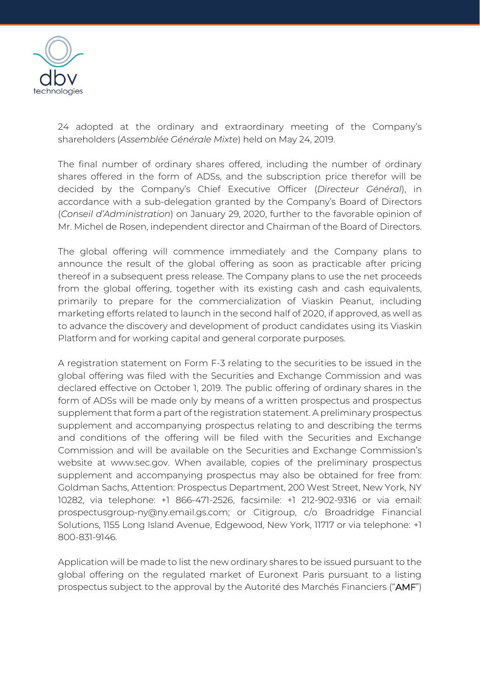

24 adopted at the ordinary and extraordinary meeting of the Company's shareholders (*Assemblée Générale Mixte*) held on May 24, 2019.

The final number of ordinary shares offered, including the number of ordinary shares offered in the form of ADSs, and the subscription price therefor will be decided by the Company's Chief Executive Officer (*Directeur Général*), in accordance with a sub-delegation granted by the Company's Board of Directors (*Conseil d'Administration*) on January 29, 2020, further to the favorable opinion of Mr. Michel de Rosen, independent director and Chairman of the Board of Directors.

The global offering will commence immediately and the Company plans to announce the result of the global offering as soon as practicable after pricing thereof in a subsequent press release. The Company plans to use the net proceeds from the global offering, together with its existing cash and cash equivalents, primarily to prepare for the commercialization of Viaskin Peanut, including marketing efforts related to launch in the second half of 2020, if approved, as well as to advance the discovery and development of product candidates using its Viaskin Platform and for working capital and general corporate purposes.

A registration statement on Form F-3 relating to the securities to be issued in the global offering was filed with the Securities and Exchange Commission and was declared effective on October 1, 2019. The public offering of ordinary shares in the form of ADSs will be made only by means of a written prospectus and prospectus supplement that form a part of the registration statement. A preliminary prospectus supplement and accompanying prospectus relating to and describing the terms and conditions of the offering will be filed with the Securities and Exchange Commission and will be available on the Securities and Exchange Commission's website at www.sec.gov. When available, copies of the preliminary prospectus supplement and accompanying prospectus may also be obtained for free from: Goldman Sachs, Attention: Prospectus Department, 200 West Street, New York, NY 10282, via telephone: +1 866-471-2526, facsimile: +1 212-902-9316 or via email: prospectusgroup-ny@ny.email.gs.com; or Citigroup, c/o Broadridge Financial Solutions, 1155 Long Island Avenue, Edgewood, New York, 11717 or via telephone: +1 800-831-9146.

Application will be made to list the new ordinary shares to be issued pursuant to the global offering on the regulated market of Euronext Paris pursuant to a listing prospectus subject to the approval by the Autorité des Marchés Financiers ("AMF")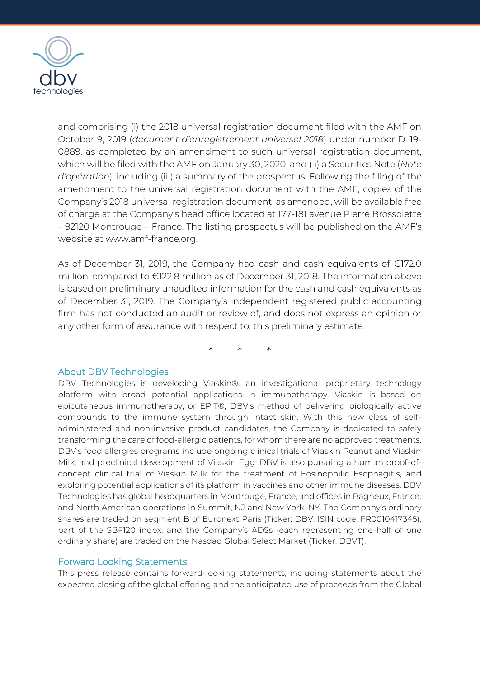

and comprising (i) the 2018 universal registration document filed with the AMF on October 9, 2019 (*document d'enregistrement universel 2018*) under number D. 19- 0889, as completed by an amendment to such universal registration document, which will be filed with the AMF on January 30, 2020, and (ii) a Securities Note (*Note d'opération*), including (iii) a summary of the prospectus. Following the filing of the amendment to the universal registration document with the AMF, copies of the Company's 2018 universal registration document, as amended, will be available free of charge at the Company's head office located at 177-181 avenue Pierre Brossolette – 92120 Montrouge – France. The listing prospectus will be published on the AMF's website at www.amf-france.org.

As of December 31, 2019, the Company had cash and cash equivalents of €172.0 million, compared to €122.8 million as of December 31, 2018. The information above is based on preliminary unaudited information for the cash and cash equivalents as of December 31, 2019. The Company's independent registered public accounting firm has not conducted an audit or review of, and does not express an opinion or any other form of assurance with respect to, this preliminary estimate.

\* \* \*

# About DBV Technologies

DBV Technologies is developing Viaskin®, an investigational proprietary technology platform with broad potential applications in immunotherapy. Viaskin is based on epicutaneous immunotherapy, or EPIT®, DBV's method of delivering biologically active compounds to the immune system through intact skin. With this new class of selfadministered and non-invasive product candidates, the Company is dedicated to safely transforming the care of food-allergic patients, for whom there are no approved treatments. DBV's food allergies programs include ongoing clinical trials of Viaskin Peanut and Viaskin Milk, and preclinical development of Viaskin Egg. DBV is also pursuing a human proof-ofconcept clinical trial of Viaskin Milk for the treatment of Eosinophilic Esophagitis, and exploring potential applications of its platform in vaccines and other immune diseases. DBV Technologies has global headquarters in Montrouge, France, and offices in Bagneux, France, and North American operations in Summit, NJ and New York, NY. The Company's ordinary shares are traded on segment B of Euronext Paris (Ticker: DBV, ISIN code: FR0010417345), part of the SBF120 index, and the Company's ADSs (each representing one-half of one ordinary share) are traded on the Nasdaq Global Select Market (Ticker: DBVT).

# Forward Looking Statements

This press release contains forward-looking statements, including statements about the expected closing of the global offering and the anticipated use of proceeds from the Global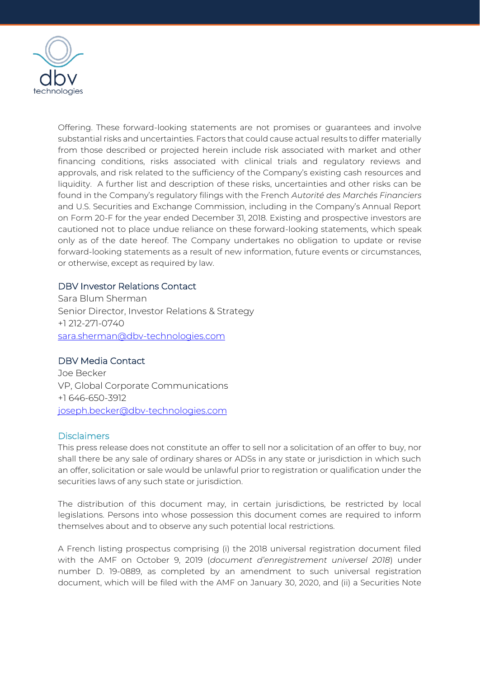

Offering. These forward-looking statements are not promises or guarantees and involve substantial risks and uncertainties. Factors that could cause actual results to differ materially from those described or projected herein include risk associated with market and other financing conditions, risks associated with clinical trials and regulatory reviews and approvals, and risk related to the sufficiency of the Company's existing cash resources and liquidity. A further list and description of these risks, uncertainties and other risks can be found in the Company's regulatory filings with the French *Autorité des Marchés Financiers* and U.S. Securities and Exchange Commission, including in the Company's Annual Report on Form 20-F for the year ended December 31, 2018. Existing and prospective investors are cautioned not to place undue reliance on these forward-looking statements, which speak only as of the date hereof. The Company undertakes no obligation to update or revise forward-looking statements as a result of new information, future events or circumstances, or otherwise, except as required by law.

### DBV Investor Relations Contact

Sara Blum Sherman Senior Director, Investor Relations & Strategy +1 212-271-0740 [sara.sherman@dbv-technologies.com](mailto:sara.sherman@dbv-technologies.com)

# DBV Media Contact

Joe Becker VP, Global Corporate Communications +1 646-650-3912 [joseph.becker@dbv-technologies.com](mailto:joseph.becker@dbv-technologies.com)

### **Disclaimers**

This press release does not constitute an offer to sell nor a solicitation of an offer to buy, nor shall there be any sale of ordinary shares or ADSs in any state or jurisdiction in which such an offer, solicitation or sale would be unlawful prior to registration or qualification under the securities laws of any such state or jurisdiction.

The distribution of this document may, in certain jurisdictions, be restricted by local legislations. Persons into whose possession this document comes are required to inform themselves about and to observe any such potential local restrictions.

A French listing prospectus comprising (i) the 2018 universal registration document filed with the AMF on October 9, 2019 (*document d'enregistrement universel 2018*) under number D. 19-0889, as completed by an amendment to such universal registration document, which will be filed with the AMF on January 30, 2020, and (ii) a Securities Note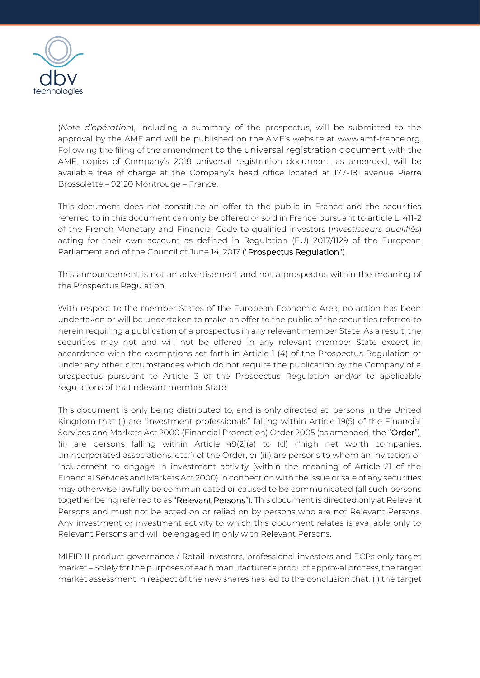

(*Note d'opération*), including a summary of the prospectus, will be submitted to the approval by the AMF and will be published on the AMF's website at www.amf-france.org. Following the filing of the amendment to the universal registration document with the AMF, copies of Company's 2018 universal registration document, as amended, will be available free of charge at the Company's head office located at 177-181 avenue Pierre Brossolette – 92120 Montrouge – France.

This document does not constitute an offer to the public in France and the securities referred to in this document can only be offered or sold in France pursuant to article L. 411-2 of the French Monetary and Financial Code to qualified investors (*investisseurs qualifiés*) acting for their own account as defined in Regulation (EU) 2017/1129 of the European Parliament and of the Council of June 14, 2017 ("Prospectus Regulation").

This announcement is not an advertisement and not a prospectus within the meaning of the Prospectus Regulation.

With respect to the member States of the European Economic Area, no action has been undertaken or will be undertaken to make an offer to the public of the securities referred to herein requiring a publication of a prospectus in any relevant member State. As a result, the securities may not and will not be offered in any relevant member State except in accordance with the exemptions set forth in Article 1 (4) of the Prospectus Regulation or under any other circumstances which do not require the publication by the Company of a prospectus pursuant to Article 3 of the Prospectus Regulation and/or to applicable regulations of that relevant member State.

This document is only being distributed to, and is only directed at, persons in the United Kingdom that (i) are "investment professionals" falling within Article 19(5) of the Financial Services and Markets Act 2000 (Financial Promotion) Order 2005 (as amended, the "Order"), (ii) are persons falling within Article 49(2)(a) to (d) ("high net worth companies, unincorporated associations, etc.") of the Order, or (iii) are persons to whom an invitation or inducement to engage in investment activity (within the meaning of Article 21 of the Financial Services and Markets Act 2000) in connection with the issue or sale of any securities may otherwise lawfully be communicated or caused to be communicated (all such persons together being referred to as "Relevant Persons"). This document is directed only at Relevant Persons and must not be acted on or relied on by persons who are not Relevant Persons. Any investment or investment activity to which this document relates is available only to Relevant Persons and will be engaged in only with Relevant Persons.

MIFID II product governance / Retail investors, professional investors and ECPs only target market – Solely for the purposes of each manufacturer's product approval process, the target market assessment in respect of the new shares has led to the conclusion that: (i) the target